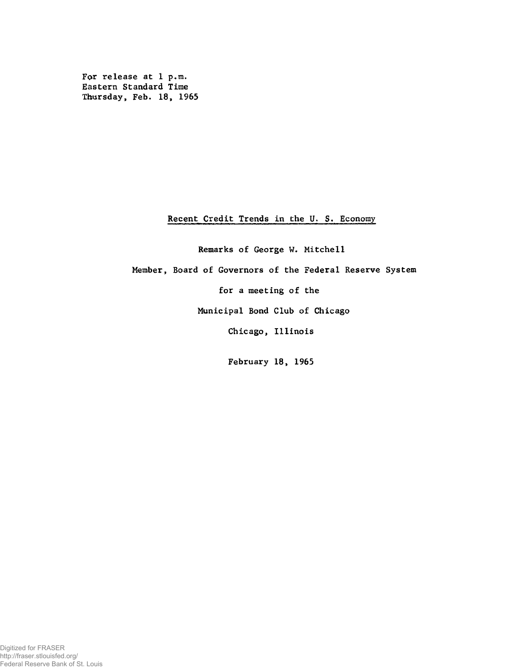For release at 1 p.m. Eastern Standard Time Thursday, Feb. 18, 1965

## Recent Credit Trends in the U. S. Economy

Remarks of George W. Mitchell Member, Board of Governors of the Federal Reserve System for a meeting of the Municipal Bond Club of Chicago Chicago, Illinois

February 18, 1965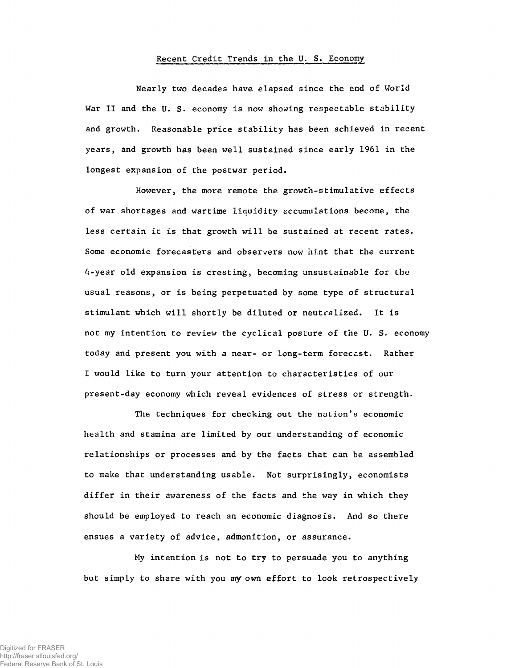## Recent Credit Trends in the U. S. Economy

Nearly two decades have elapsed since the end of World War II and the U. S. economy is now showing respectable stability and growth. Reasonable price stability has been achieved in recent years, and growth has been well sustained since early 1961 in the longest expansion of the postwar period.

However, the more remote the growth-stimulative effects of war shortages and wartime liquidity accumulations become, the less certain it is that growth will be sustained at recent rates. Some economic forecasters and observers now hint that the current 4-year old expansion is cresting, becoming unsustainable for the usual reasons, or is being perpetuated by some type of structural stimulant which will shortly be diluted or neutralized. It is not my intention to review the cyclical posture of the U. S. economy today and present you with a near- or long-term forecast. Rather I would like to turn your attention to characteristics of our present-day economy which reveal evidences of stress or strength.

The techniques for checking out the nation's economic health and stamina are limited by our understanding of economic relationships or processes and by the facts that can be assembled to make that understanding usable. Not surprisingly, economists differ in their awareness of the facts and the way in which they should be employed to reach an economic diagnosis. And so there ensues a variety of advice, admonition, or assurance.

My intention is not to try to persuade you to anything but simply to share with you my own effort to look retrospectively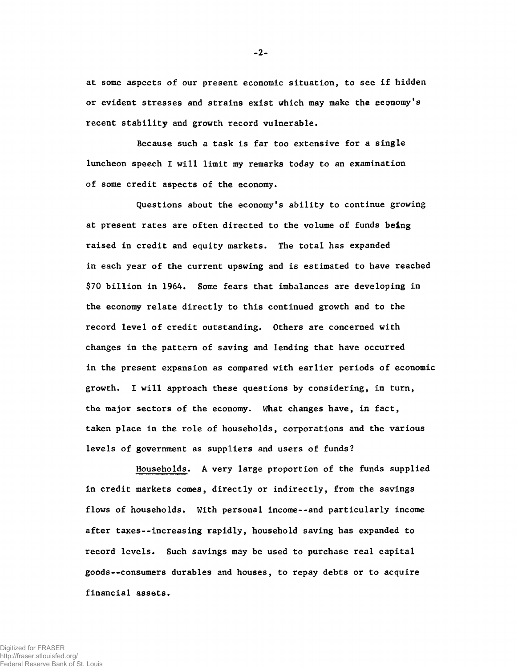at some aspects of our present economic situation, to see if hidden or evident stresses and strains exist which may make the economy's recent stability and growth record vulnerable.

Because such a task is far too extensive for a single luncheon speech I will limit my remarks today to an examination of some credit aspects of the economy.

Questions about the economy's ability to continue growing at present rates are often directed to the volume of funds being raised in credit and equity markets. The total has expanded in each year of the current upswing and is estimated to have reached \$70 billion in 1964. Some fears that imbalances are developing in the economy relate directly to this continued growth and to the record level of credit outstanding. Others are concerned with changes in the pattern of saving and lending that have occurred in the present expansion as compared with earlier periods of economic growth. I will approach these questions by considering, in turn, the major sectors of the economy. What changes have, in fact, taken place in the role of households, corporations and the various levels of government as suppliers and users of funds?

Households. A very large proportion of the funds supplied in credit markets comes, directly or indirectly, from the savings flows of households. With personal income--and particularly income after taxes--increasing rapidly, household saving has expanded to record levels. Such savings may be used to purchase real capital goods--consumers durables and houses, to repay debts or to acquire financial assets.

-2-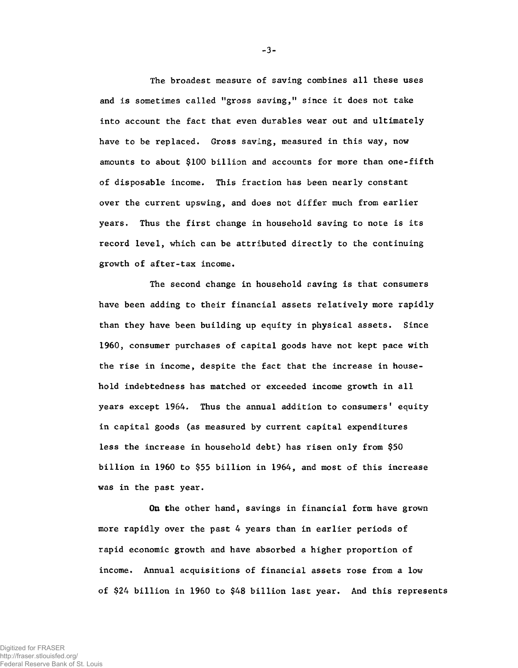The broadest measure of saving combines all these uses and is sometimes called "gross saving," since it does not take into account the fact that even durables wear out and ultimately have to be replaced. Gross saving, measured in this way, now amounts to about \$100 billion and accounts for more than one-fifth of disposable income. This fraction has been nearly constant over the current upswing, and does not differ much from earlier years. Thus the first change in household saving to note is its record level, which can be attributed directly to the continuing growth of after-tax income.

The second change in household saving is that consumers have been adding to their financial assets relatively more rapidly than they have been building up equity in physical assets. Since 1960, consumer purchases of capital goods have not kept pace with the rise in income, despite the fact that the increase in household indebtedness has matched or exceeded income growth in all years except 1964. Thus the annual addition to consumers' equity in capital goods (as measured by current capital expenditures less the increase in household debt) has risen only from \$50 billion in 1960 to \$55 billion in 1964, and most of this increase was in the past year.

On the other hand, savings in financial form have grown more rapidly over the past 4 years than in earlier periods of rapid economic growth and have absorbed a higher proportion of income. Annual acquisitions of financial assets rose from a low of \$24 billion in 1960 to \$48 billion last year. And this represents

-3-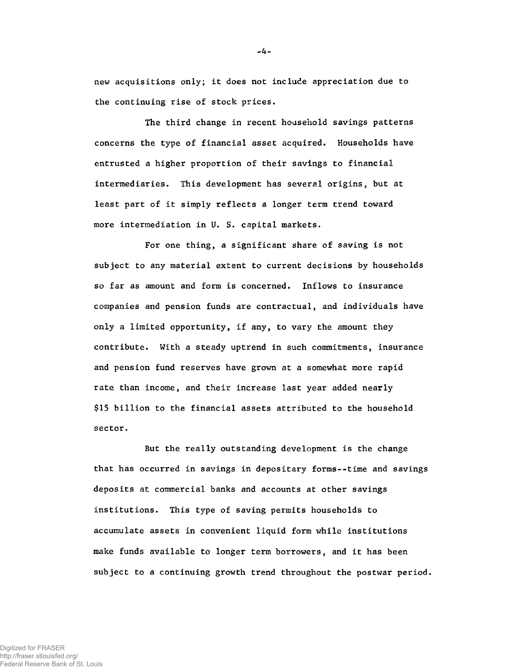new acquisitions only; it does not include appreciation due to the continuing rise of stock prices.

The third change in recent household savings patterns concerns the type of financial asset acquired. Households have entrusted a higher proportion of their savings to financial intermediaries. This development has several origins, but at least part of it simply reflects a longer term trend toward more intermediation in U. S. capital markets.

For one thing, a significant share of saving is not subject to any material extent to current decisions by households so far as amount and form is concerned. Inflows to insurance companies and pension funds are contractual, and individuals have only a limited opportunity, if any, to vary the amount they contribute. With a steady uptrend in such commitments, insurance and pension fund reserves have grown at a somewhat more rapid rate than income, and their increase last year added nearly \$15 billion to the financial assets attributed to the household sector.

But the really outstanding development is the change that has occurred in savings in depositary forms--time and savings deposits at commercial banks and accounts at other savings institutions. This type of saving permits households to accumulate assets in convenient liquid form while institutions make funds available to longer term borrowers, and it has been subject to a continuing growth trend throughout the postwar period.

Digitized for FRASER http://fraser.stlouisfed.org/ Federal Reserve Bank of St. Louis -4-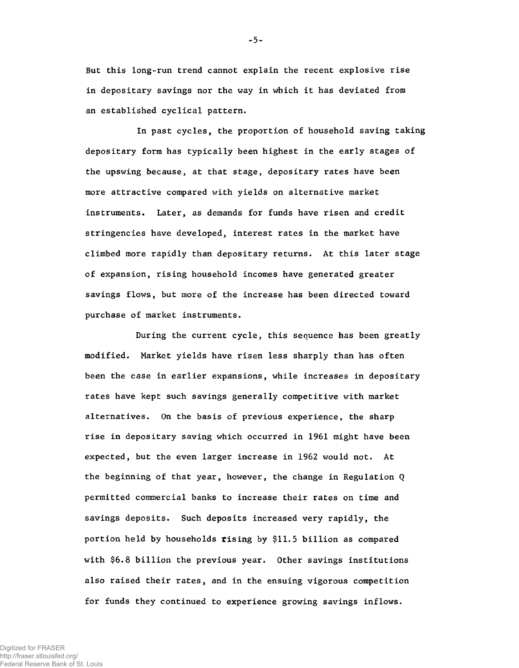But this long-run trend cannot explain the recent explosive rise in depositary savings nor the way in which it has deviated from an established cyclical pattern.

In past cycles, the proportion of household saving taking depositary form has typically been highest in the early stages of the upswing because, at that stage, depositary rates have been more attractive compared with yields on alternative market instruments. Later, as demands for funds have risen and credit stringencies have developed, interest rates in the market have climbed more rapidly than depositary returns. At this later stage of expansion, rising household incomes have generated greater savings flows, but more of the increase has been directed toward purchase of market instruments.

During the current cycle, this sequence has been greatly modified. Market yields have risen less sharply than has often been the case in earlier expansions, while increases in depositary rates have kept such savings generally competitive with market alternatives. On the basis of previous experience, the sharp rise in depositary saving which occurred in 1961 might have been expected, but the even larger increase in 1962 would not. At the beginning of that year, however, the change in Regulation Q permitted commercial banks to increase their rates on time and savings deposits. Such deposits increased very rapidly, the portion held by households rising by \$11.5 billion as compared with \$6.8 billion the previous year. Other savings institutions also raised their rates, and in the ensuing vigorous competition for funds they continued to experience growing savings inflows.

Digitized for FRASER http://fraser.stlouisfed.org/ Federal Reserve Bank of St. Louis **-** 5 **-**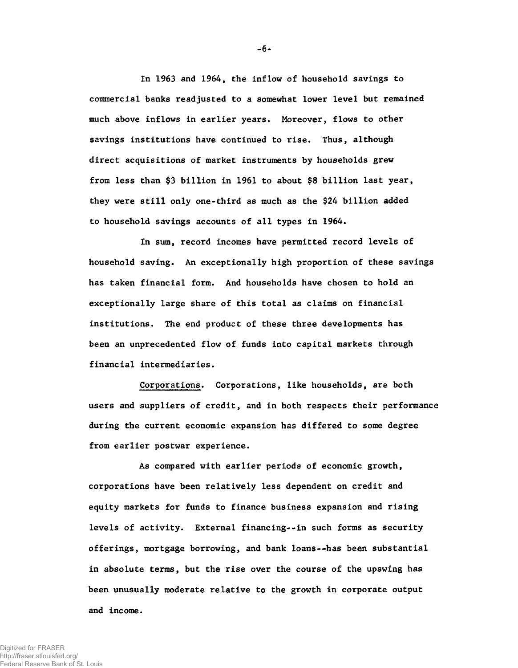In 1963 and 1964, the inflow of household savings to commercial banks readjusted to a somewhat lower level but remained much above inflows in earlier years. Moreover, flows to other savings institutions have continued to rise. Thus, although direct acquisitions of market instruments by households grew from less than \$3 billion in 1961 to about \$8 billion last year, they were still only one-third as much as the \$24 billion added to household savings accounts of all types in 1964.

In sum, record incomes have permitted record levels of household saving. An exceptionally high proportion of these savings has taken financial form. And households have chosen to hold an exceptionally large share of this total as claims on financial institutions. The end product of these three developments has been an unprecedented flow of funds into capital markets through financial intermediaries.

Corporations. Corporations, like households, are both users and suppliers of credit, and in both respects their performance during the current economic expansion has differed to some degree from earlier postwar experience.

As compared with earlier periods of economic growth, corporations have been relatively less dependent on credit and equity markets for funds to finance business expansion and rising levels of activity. External financing--in such forms as security offerings, mortgage borrowing, and bank loans--has been substantial in absolute terms, but the rise over the course of the upswing has been unusually moderate relative to the growth in corporate output and income.

-6-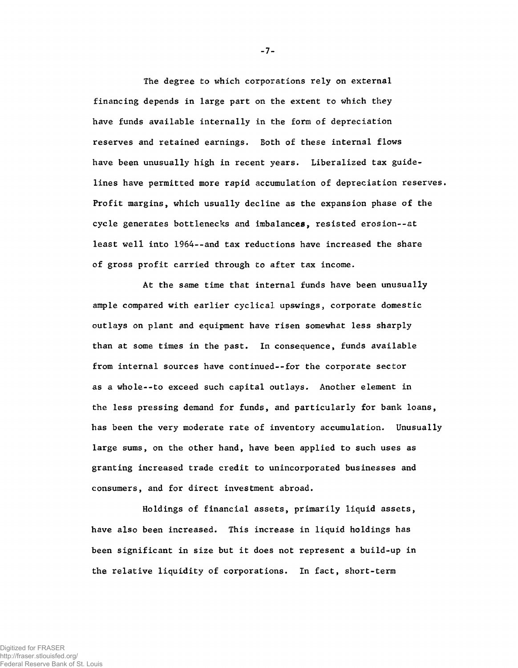The degree to which corporations rely on external financing depends in large part on the extent to which they have funds available internally in the form of depreciation reserves and retained earnings. Both of these internal flows have been unusually high in recent years. Liberalized tax guidelines have permitted more rapid accumulation of depreciation reserves. Profit margins, which usually decline as the expansion phase of the cycle generates bottlenecks and imbalances, resisted erosion--at least well into 1964--and tax reductions have increased the share of gross profit carried through to after tax income.

At the same time that internal funds have been unusually ample compared with earlier cyclical upswings, corporate domestic outlays on plant and equipment have risen somewhat less sharply than at some times in the past. In consequence, funds available from internal sources have continued--for the corporate sector as a whole--to exceed such capital outlays. Another element in the less pressing demand for funds, and particularly for bank loans, has been the very moderate rate of inventory accumulation. Unusually large sums, on the other hand, have been applied to such uses as granting increased trade credit to unincorporated businesses and consumers, and for direct investment abroad.

Holdings of financial assets, primarily liquid assets, have also been increased. This increase in liquid holdings has been significant in size but it does not represent a build-up in the relative liquidity of corporations. In fact, short-term

-7-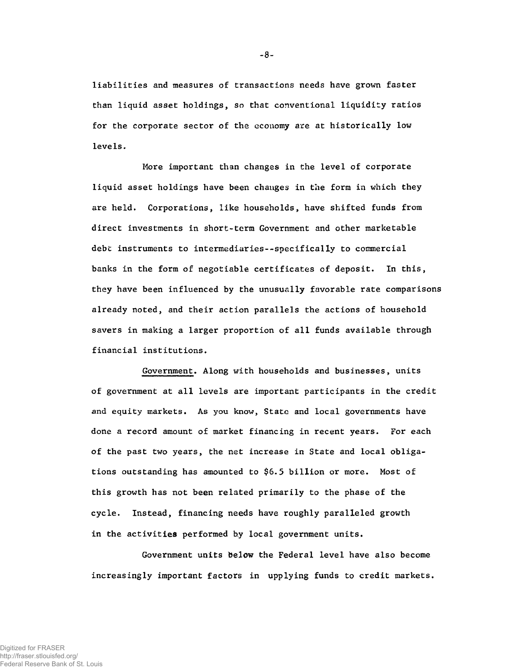liabilities and measures of transactions needs have grown faster than liquid asset holdings, so that conventional liquidity ratios for the corporate sector of the economy are at historically low levels.

More important than changes in the level of corporate liquid asset holdings have been changes in the form in which they are held. Corporations, like households, have shifted funds from direct investments in short-term Government and other marketable debt instruments to intermediaries--specifically to commercial banks in the form of negotiable certificates of deposit. In this, they have been influenced by the unusually favorable rate comparisons already noted, and their action parallels the actions of household savers in making a larger proportion of all funds available through financial institutions.

Government. Along with households and businesses, units of government at all levels are important participants in the credit and equity markets. As you know, State and local governments have done a record amount of market financing in recent years. For each of the past two years, the net increase in State and local obligations outstanding has amounted to \$6.5 billion or more. Most of this growth has not been related primarily to the phase of the cycle. Instead, financing needs have roughly paralleled growth in the activities performed by local government units.

Government units below the Federal level have also become increasingly important factors in upplying funds to credit markets.

 $-8-$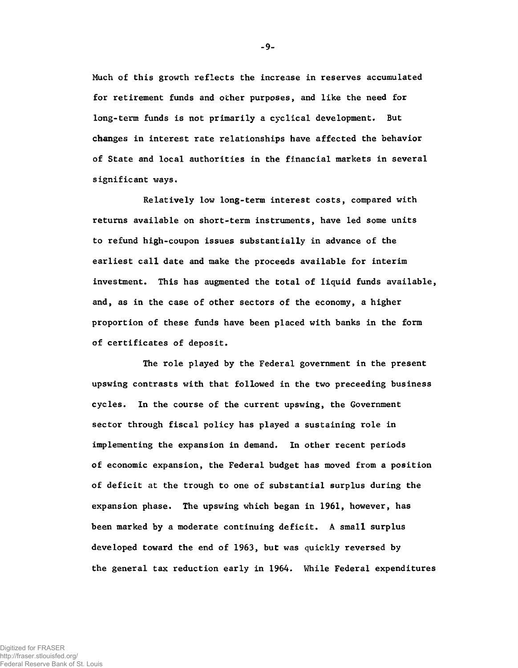Much of this growth reflects the increase in reserves accumulated for retirement funds and other purposes, and like the need for long-term funds is not primarily a cyclical development. But changes in interest rate relationships have affected the behavior of State and local authorities in the financial markets in several significant ways.

- 9-

Relatively low long-term interest costs, compared with returns available on short-term instruments, have led some units to refund high-coupon issues substantially in advance of the earliest call date and make the proceeds available for interim investment. This has augmented the total of liquid funds available, and, as in the case of other sectors of the economy, a higher proportion of these funds have been placed with banks in the form of certificates of deposit.

The role played by the Federal government in the present upswing contrasts with that followed in the two preceeding business cycles. In the course of the current upswing, the Government sector through fiscal policy has played a sustaining role in implementing the expansion in demand. In other recent periods of economic expansion, the Federal budget has moved from a position of deficit at the trough to one of substantial surplus during the expansion phase. The upswing which began in 1961, however, has been marked by a moderate continuing deficit. A small surplus developed toward the end of 1963, but was quickly reversed by the general tax reduction early in 1964. While Federal expenditures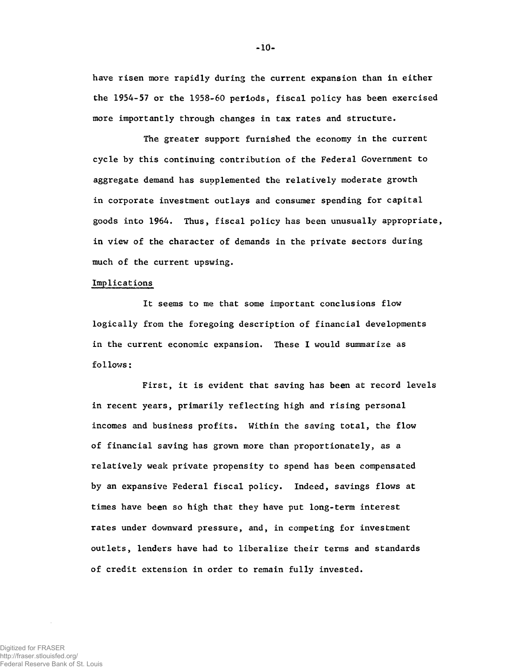have risen more rapidly during the current expansion than in either the 1954-57 or the 1958-60 periods, fiscal policy has been exercised more importantly through changes in tax rates and structure.

The greater support furnished the economy in the current cycle by this continuing contribution of the Federal Government to aggregate demand has supplemented the relatively moderate growth in corporate investment outlays and consumer spending for capital goods into 1964. Thus, fiscal policy has been unusually appropriate, in view of the character of demands in the private sectors during much of the current upswing.

## Implications

It seems to me that some important conclusions flow logically from the foregoing description of financial developments in the current economic expansion. These I would summarize as follows:

First, it is evident that saving has been at record levels in recent years, primarily reflecting high and rising personal incomes and business profits. Within the saving total, the flow of financial saving has grown more than proportionately, as a relatively weak private propensity to spend has been compensated by an expansive Federal fiscal policy. Indeed, savings flows at times have been so high that they have put long-term interest rates under downward pressure, and, in competing for investment outlets, lenders have had to liberalize their terms and standards of credit extension in order to remain fully invested.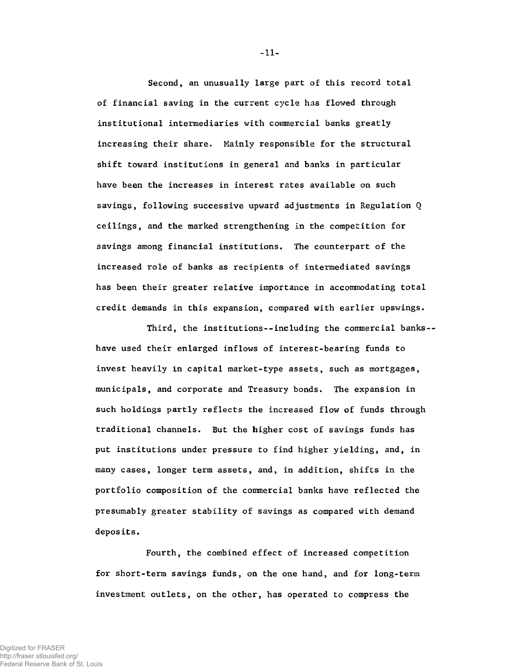Second, an unusually large part of this record total of financial saving in the current cycle has flowed through institutional intermediaries with commercial banks greatly increasing their share. Mainly responsible for the structural shift toward institutions in general and banks in particular have been the increases in interest rates available on such savings, following successive upward adjustments in Regulation Q ceilings, and the marked strengthening in the competition for savings among financial institutions. The counterpart of the increased role of banks as recipients of intermediated savings has been their greater relative importance in accommodating total credit demands in this expansion, compared with earlier upswings.

Third, the institutions--including the commercial banks-have used their enlarged inflows of interest-bearing funds to invest heavily in capital market-type assets, such as mortgages, municipals, and corporate and Treasury bonds. The expansion in such holdings partly reflects the increased flow of funds through traditional channels. But the higher cost of savings funds has put institutions under pressure to find higher yielding, and, in many cases, longer term assets, and, in addition, shifts in the portfolio composition of the commercial banks have reflected the presumably greater stability of savings as compared with demand deposits.

Fourth, the combined effect of increased competition for short-term savings funds, on the one hand, and for long-term investment outlets, on the other, has operated to compress the

-11-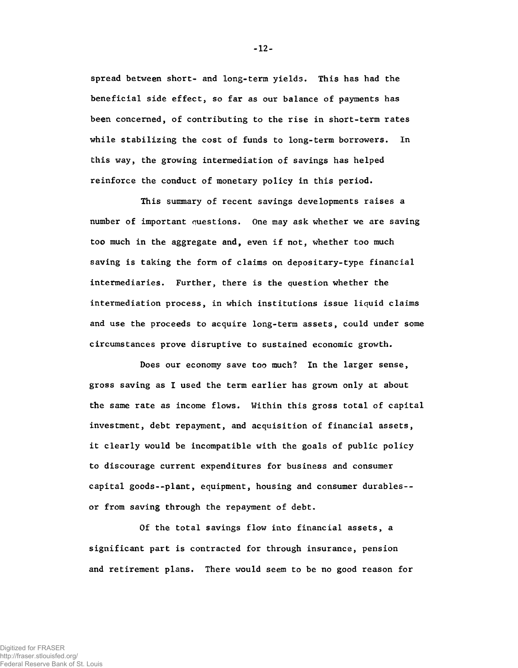spread between short- and long-term yields. This has had the beneficial side effect, so far as our balance of payments has been concerned, of contributing to the rise in short-term rates while stabilizing the cost of funds to long-term borrowers. In this way, the growing intermediation of savings has helped reinforce the conduct of monetary policy in this period.

This summary of recent savings developments raises a number of important questions. One may ask whether we are saving too much in the aggregate and, even if not, whether too much saving is taking the form of claims on depositary-type financial intermediaries. Further, there is the question whether the intermediation process, in which institutions issue liquid claims and use the proceeds to acquire long-term assets, could under some circumstances prove disruptive to sustained economic growth.

Does our economy save too much? In the larger sense, gross saving as I used the term earlier has grown only at about the same rate as income flows. Within this gross total of capital investment, debt repayment, and acquisition of financial assets, it clearly would be incompatible with the goals of public policy to discourage current expenditures for business and consumer capital goods--plant, equipment, housing and consumer durables- or from saving through the repayment of debt.

Of the total savings flow into financial assets, a significant part is contracted for through insurance, pension and retirement plans. There would seem to be no good reason for

-12-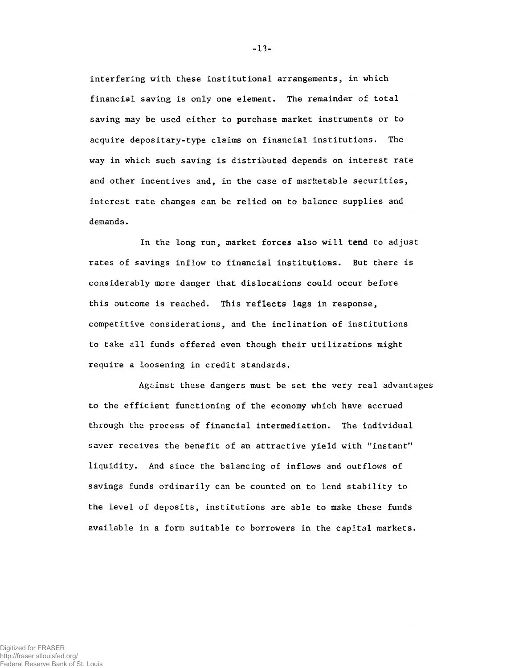interfering with these institutional arrangements, in which financial saving is only one element. The remainder of total saving may be used either to purchase market instruments or to acquire depositary-type claims on financial institutions. The way in which such saving is distributed depends on interest rate and other incentives and, in the case of marketable securities, interest rate changes can be relied on to balance supplies and demands.

In the long run, market forces also will tend to adjust rates of savings inflow to financial institutions. But there is considerably more danger that dislocations could occur before this outcome is reached. This reflects lags in response, competitive considerations, and the inclination of institutions to take all funds offered even though their utilizations might require a loosening in credit standards.

Against these dangers must be set the very real advantages to the efficient functioning of the economy which have accrued through the process of financial intermediation. The individual saver receives the benefit of an attractive yield with "instant" liquidity. And since the balancing of inflows and outflows of savings funds ordinarily can be counted on to lend stability to the level of deposits, institutions are able to make these funds available in a form suitable to borrowers in the capital markets.

**-** 13**-**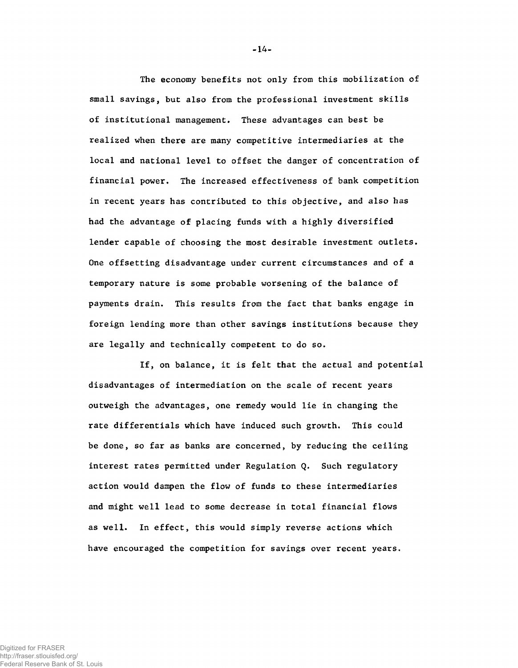The economy benefits not only from this mobilization of small savings, but also from the professional investment skills of institutional management. These advantages can best be realized when there are many competitive intermediaries at the local and national level to offset the danger of concentration of financial power. The increased effectiveness of bank competition in recent years has contributed to this objective, and also has had the advantage of placing funds with a highly diversified lender capable of choosing the most desirable investment outlets. One offsetting disadvantage under current circumstances and of a temporary nature is some probable worsening of the balance of payments drain. This results from the fact that banks engage in foreign lending more than other savings institutions because they are legally and technically competent to do so.

If, on balance, it is felt that the actual and potential disadvantages of intermediation on the scale of recent years outweigh the advantages, one remedy would lie in changing the rate differentials which have induced such growth. This could be done, so far as banks are concerned, by reducing the ceiling interest rates permitted under Regulation Q. Such regulatory action would dampen the flow of funds to these intermediaries and might well lead to some decrease in total financial flows as well. In effect, this would simply reverse actions which have encouraged the competition for savings over recent years.

**-** 14**-**